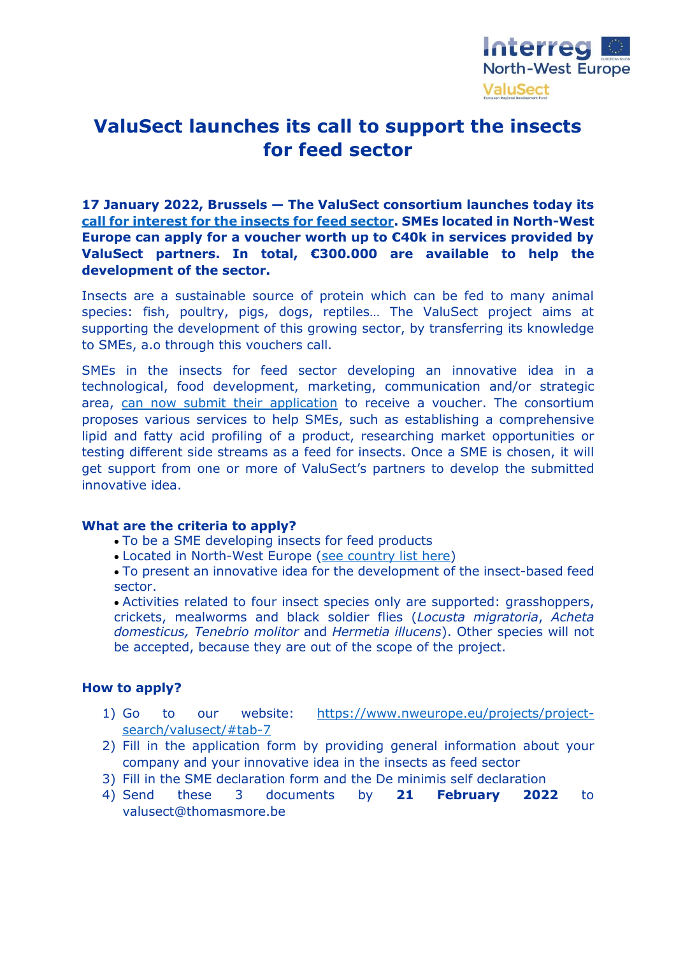

## **ValuSect launches its call to support the insects for feed sector**

**17 January 2022, Brussels — The ValuSect consortium launches today its call for interest for [the insects for feed sector.](https://www.nweurope.eu/projects/project-search/valusect/?tab=,&page=3#tab-7) SMEs located in North-West Europe can apply for a voucher worth up to €40k in services provided by ValuSect partners. In total, €300.000 are available to help the development of the sector.**

Insects are a sustainable source of protein which can be fed to many animal species: fish, poultry, pigs, dogs, reptiles… The ValuSect project aims at supporting the development of this growing sector, by transferring its knowledge to SMEs, a.o through this vouchers call.

SMEs in the insects for feed sector developing an innovative idea in a technological, food development, marketing, communication and/or strategic area, [can now submit their application](https://www.nweurope.eu/projects/project-search/valusect/?tab=,&page=3#tab-7) to receive a voucher. The consortium proposes various services to help SMEs, such as establishing a comprehensive lipid and fatty acid profiling of a product, researching market opportunities or testing different side streams as a feed for insects. Once a SME is chosen, it will get support from one or more of ValuSect's partners to develop the submitted innovative idea.

## **What are the criteria to apply?**

- To be a SME developing insects for feed products
- Located in North-West Europe [\(see country list here\)](https://www.nweurope.eu/about-the-programme/the-nwe-area/)

 To present an innovative idea for the development of the insect-based feed sector.

 Activities related to four insect species only are supported: grasshoppers, crickets, mealworms and black soldier flies (*Locusta migratoria*, *Acheta domesticus, Tenebrio molitor* and *Hermetia illucens*). Other species will not be accepted, because they are out of the scope of the project.

## **How to apply?**

- 1) Go to our website: [https://www.nweurope.eu/projects/project](https://www.nweurope.eu/projects/project-search/valusect/#tab-7)[search/valusect/#tab-7](https://www.nweurope.eu/projects/project-search/valusect/#tab-7)
- 2) Fill in the application form by providing general information about your company and your innovative idea in the insects as feed sector
- 3) Fill in the SME declaration form and the De minimis self declaration
- 4) Send these 3 documents by **21 February 2022** to valusect@thomasmore.be